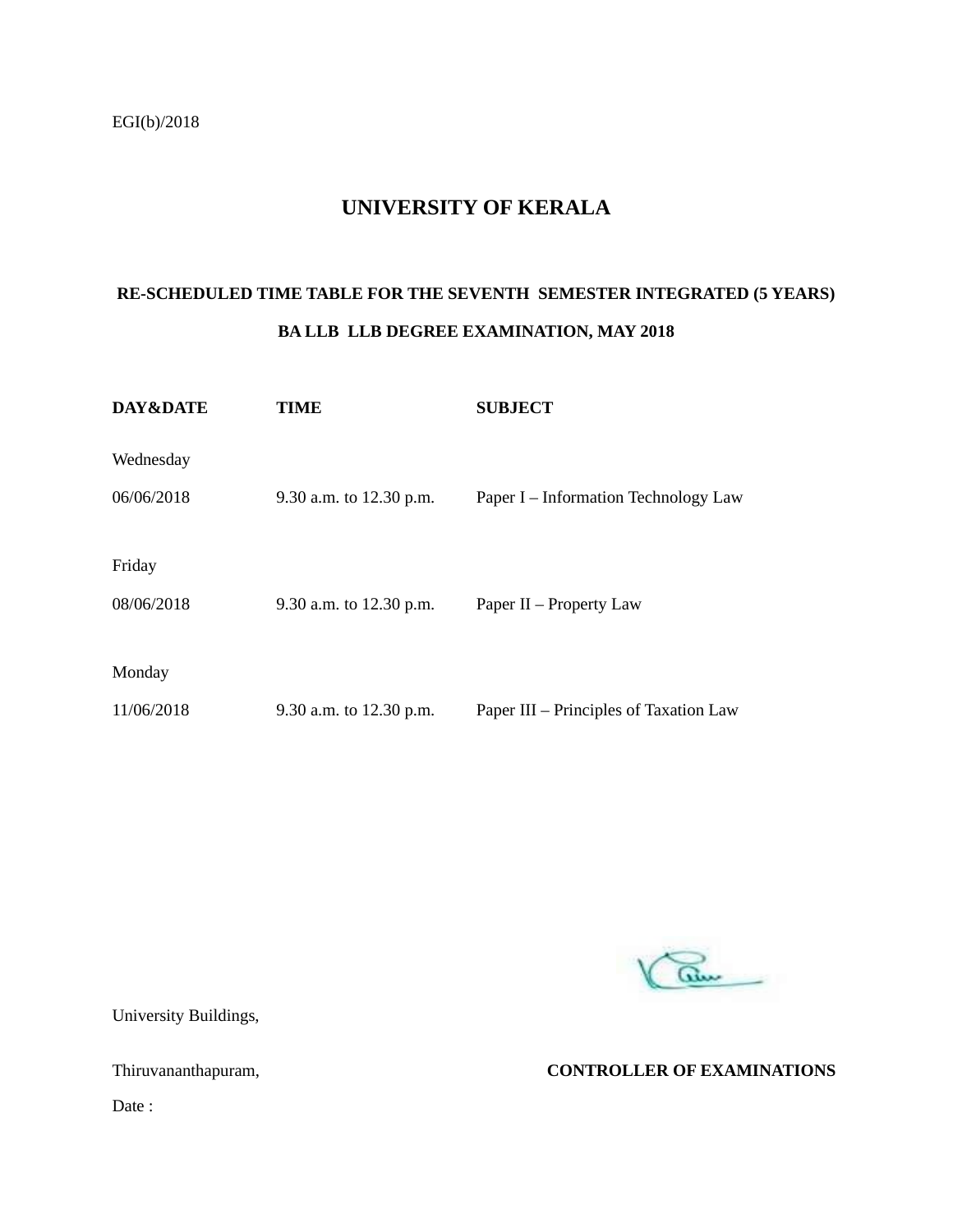#### **UNIVERSITY OF KERALA**

### **RE-SCHEDULED TIME TABLE FOR THE SEVENTH SEMESTER INTEGRATED (5 YEARS) BA LLB LLB DEGREE EXAMINATION, MAY 2018**

| DAY&DATE   | TIME                    | <b>SUBJECT</b>                         |
|------------|-------------------------|----------------------------------------|
| Wednesday  |                         |                                        |
| 06/06/2018 | 9.30 a.m. to 12.30 p.m. | Paper I – Information Technology Law   |
|            |                         |                                        |
| Friday     |                         |                                        |
| 08/06/2018 | 9.30 a.m. to 12.30 p.m. | Paper $II$ – Property Law              |
|            |                         |                                        |
| Monday     |                         |                                        |
| 11/06/2018 | 9.30 a.m. to 12.30 p.m. | Paper III – Principles of Taxation Law |



University Buildings,

Thiruvananthapuram, **CONTROLLER OF EXAMINATIONS**

Date :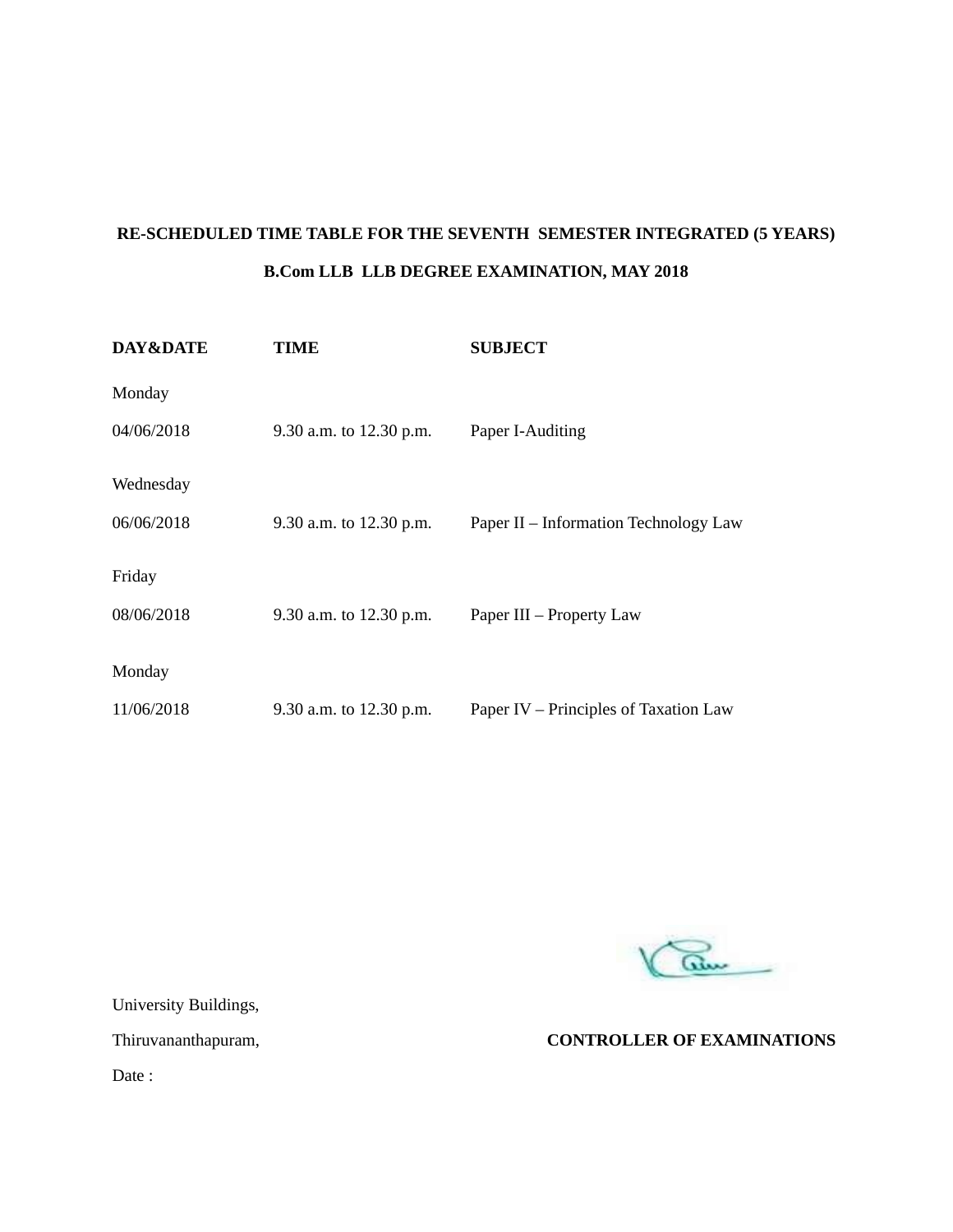## **RE-SCHEDULED TIME TABLE FOR THE SEVENTH SEMESTER INTEGRATED (5 YEARS) B.Com LLB LLB DEGREE EXAMINATION, MAY 2018**

| DAY&DATE   | <b>TIME</b>             | <b>SUBJECT</b>                        |
|------------|-------------------------|---------------------------------------|
| Monday     |                         |                                       |
| 04/06/2018 | 9.30 a.m. to 12.30 p.m. | Paper I-Auditing                      |
| Wednesday  |                         |                                       |
| 06/06/2018 | 9.30 a.m. to 12.30 p.m. | Paper II - Information Technology Law |
| Friday     |                         |                                       |
| 08/06/2018 | 9.30 a.m. to 12.30 p.m. | Paper III – Property Law              |
| Monday     |                         |                                       |
| 11/06/2018 | 9.30 a.m. to 12.30 p.m. | Paper IV – Principles of Taxation Law |

am

University Buildings,

Thiruvananthapuram, **CONTROLLER OF EXAMINATIONS**

Date :